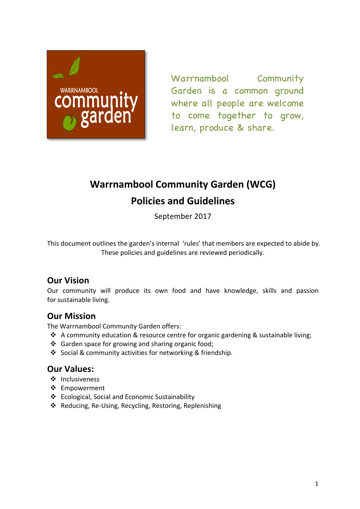

Warrnambool Community Garden is a common ground where all people are welcome to come together to grow, learn, produce & share.

# **Warrnambool Community Garden (WCG) Policies and Guidelines**

September 2017

This document outlines the garden's internal 'rules' that members are expected to abide by. These policies and guidelines are reviewed periodically.

# **Our Vision**

Our community will produce its own food and have knowledge, skills and passion for sustainable living.

# **Our Mission**

The Warrnambool Community Garden offers:

- $\cdot$  A community education & resource centre for organic gardening & sustainable living;
- $\cdot$  Garden space for growing and sharing organic food;
- ❖ Social & community activities for networking & friendship.

# **Our Values:**

- ❖ Inclusiveness
- ❖ Empowerment
- ❖ Ecological, Social and Economic Sustainability
- ❖ Reducing, Re-Using, Recycling, Restoring, Replenishing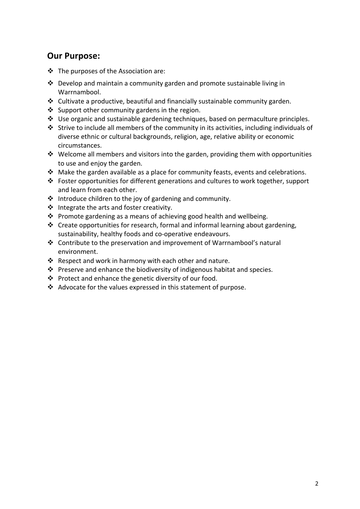# **Our Purpose:**

- $\div$  The purposes of the Association are:
- $\cdot$  Develop and maintain a community garden and promote sustainable living in Warrnambool.
- $\cdot$  Cultivate a productive, beautiful and financially sustainable community garden.
- $\cdot$  Support other community gardens in the region.
- $*$  Use organic and sustainable gardening techniques, based on permaculture principles.
- $*$  Strive to include all members of the community in its activities, including individuals of diverse ethnic or cultural backgrounds, religion, age, relative ability or economic circumstances.
- $*$  Welcome all members and visitors into the garden, providing them with opportunities to use and enjoy the garden.
- $\cdot$  Make the garden available as a place for community feasts, events and celebrations.
- $\cdot$  Foster opportunities for different generations and cultures to work together, support and learn from each other.
- $\cdot$  Introduce children to the joy of gardening and community.
- ❖ Integrate the arts and foster creativity.
- $\cdot$  Promote gardening as a means of achieving good health and wellbeing.
- $\cdot$  Create opportunities for research, formal and informal learning about gardening, sustainability, healthy foods and co-operative endeavours.
- $\cdot$  Contribute to the preservation and improvement of Warrnambool's natural environment.
- $\cdot$  Respect and work in harmony with each other and nature.
- $*$  Preserve and enhance the biodiversity of indigenous habitat and species.
- $\cdot$  Protect and enhance the genetic diversity of our food.
- $\cdot$  Advocate for the values expressed in this statement of purpose.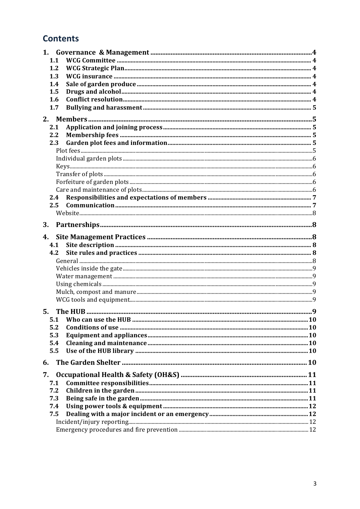# **Contents**

| 1.  |  |
|-----|--|
| 1.1 |  |
| 1.2 |  |
| 1.3 |  |
| 1.4 |  |
| 1.5 |  |
| 1.6 |  |
| 1.7 |  |
| 2.  |  |
| 2.1 |  |
| 2.2 |  |
| 2.3 |  |
|     |  |
|     |  |
|     |  |
|     |  |
|     |  |
|     |  |
| 2.4 |  |
| 2.5 |  |
|     |  |
| 3.  |  |
| 4.  |  |
| 4.1 |  |
| 4.2 |  |
|     |  |
|     |  |
|     |  |
|     |  |
|     |  |
|     |  |
|     |  |
| 5.1 |  |
| 5.2 |  |
| 5.3 |  |
| 5.4 |  |
| 5.5 |  |
| 6.  |  |
|     |  |
| 7.  |  |
| 7.1 |  |
| 7.2 |  |
| 7.3 |  |
| 7.4 |  |
| 7.5 |  |
|     |  |
|     |  |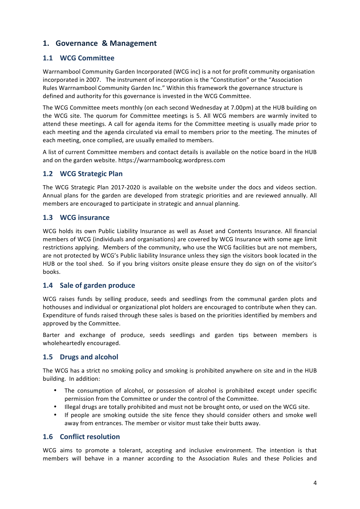## **1. Governance & Management**

## **1.1 WCG Committee**

Warrnambool Community Garden Incorporated (WCG inc) is a not for profit community organisation incorporated in 2007. The instrument of incorporation is the "Constitution" or the "Association Rules Warrnambool Community Garden Inc." Within this framework the governance structure is defined and authority for this governance is invested in the WCG Committee.

The WCG Committee meets monthly (on each second Wednesday at 7.00pm) at the HUB building on the WCG site. The quorum for Committee meetings is 5. All WCG members are warmly invited to attend these meetings. A call for agenda items for the Committee meeting is usually made prior to each meeting and the agenda circulated via email to members prior to the meeting. The minutes of each meeting, once complied, are usually emailed to members.

A list of current Committee members and contact details is available on the notice board in the HUB and on the garden website. https://warrnamboolcg.wordpress.com

#### **1.2 WCG Strategic Plan**

The WCG Strategic Plan 2017-2020 is available on the website under the docs and videos section. Annual plans for the garden are developed from strategic priorities and are reviewed annually. All members are encouraged to participate in strategic and annual planning.

#### **1.3 WCG** insurance

WCG holds its own Public Liability Insurance as well as Asset and Contents Insurance. All financial members of WCG (individuals and organisations) are covered by WCG Insurance with some age limit restrictions applying. Members of the community, who use the WCG facilities but are not members, are not protected by WCG's Public liability Insurance unless they sign the visitors book located in the HUB or the tool shed. So if you bring visitors onsite please ensure they do sign on of the visitor's books. 

## 1.4 Sale of garden produce

WCG raises funds by selling produce, seeds and seedlings from the communal garden plots and hothouses and individual or organizational plot holders are encouraged to contribute when they can. Expenditure of funds raised through these sales is based on the priorities identified by members and approved by the Committee.

Barter and exchange of produce, seeds seedlings and garden tips between members is wholeheartedly encouraged.

## **1.5 Drugs and alcohol**

The WCG has a strict no smoking policy and smoking is prohibited anywhere on site and in the HUB building. In addition:

- The consumption of alcohol, or possession of alcohol is prohibited except under specific permission from the Committee or under the control of the Committee.
- Illegal drugs are totally prohibited and must not be brought onto, or used on the WCG site.
- If people are smoking outside the site fence they should consider others and smoke well away from entrances. The member or visitor must take their butts away.

## **1.6 Conflict resolution**

WCG aims to promote a tolerant, accepting and inclusive environment. The intention is that members will behave in a manner according to the Association Rules and these Policies and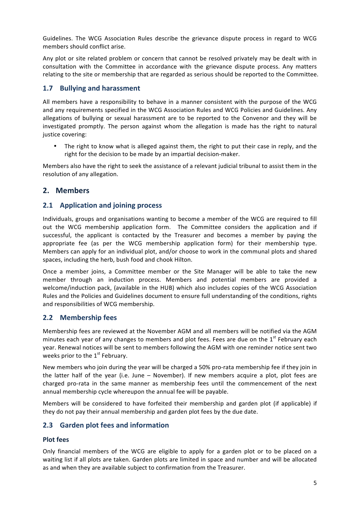Guidelines. The WCG Association Rules describe the grievance dispute process in regard to WCG members should conflict arise.

Any plot or site related problem or concern that cannot be resolved privately may be dealt with in consultation with the Committee in accordance with the grievance dispute process. Any matters relating to the site or membership that are regarded as serious should be reported to the Committee.

## **1.7** Bullying and harassment

All members have a responsibility to behave in a manner consistent with the purpose of the WCG and any requirements specified in the WCG Association Rules and WCG Policies and Guidelines. Any allegations of bullying or sexual harassment are to be reported to the Convenor and they will be investigated promptly. The person against whom the allegation is made has the right to natural justice covering:

• The right to know what is alleged against them, the right to put their case in reply, and the right for the decision to be made by an impartial decision-maker.

Members also have the right to seek the assistance of a relevant judicial tribunal to assist them in the resolution of any allegation.

## **2. Members**

## **2.1 Application and joining process**

Individuals, groups and organisations wanting to become a member of the WCG are required to fill out the WCG membership application form. The Committee considers the application and if successful, the applicant is contacted by the Treasurer and becomes a member by paying the appropriate fee (as per the WCG membership application form) for their membership type. Members can apply for an individual plot, and/or choose to work in the communal plots and shared spaces, including the herb, bush food and chook Hilton.

Once a member joins, a Committee member or the Site Manager will be able to take the new member through an induction process. Members and potential members are provided a welcome/induction pack, (available in the HUB) which also includes copies of the WCG Association Rules and the Policies and Guidelines document to ensure full understanding of the conditions, rights and responsibilities of WCG membership.

## **2.2 Membership fees**

Membership fees are reviewed at the November AGM and all members will be notified via the AGM minutes each year of any changes to members and plot fees. Fees are due on the  $1<sup>st</sup>$  February each year. Renewal notices will be sent to members following the AGM with one reminder notice sent two weeks prior to the  $1<sup>st</sup>$  February.

New members who join during the year will be charged a 50% pro-rata membership fee if they join in the latter half of the year (i.e. June  $-$  November). If new members acquire a plot, plot fees are charged pro-rata in the same manner as membership fees until the commencement of the next annual membership cycle whereupon the annual fee will be payable.

Members will be considered to have forfeited their membership and garden plot (if applicable) if they do not pay their annual membership and garden plot fees by the due date.

## **2.3 Garden plot fees and information**

## **Plot fees**

Only financial members of the WCG are eligible to apply for a garden plot or to be placed on a waiting list if all plots are taken. Garden plots are limited in space and number and will be allocated as and when they are available subject to confirmation from the Treasurer.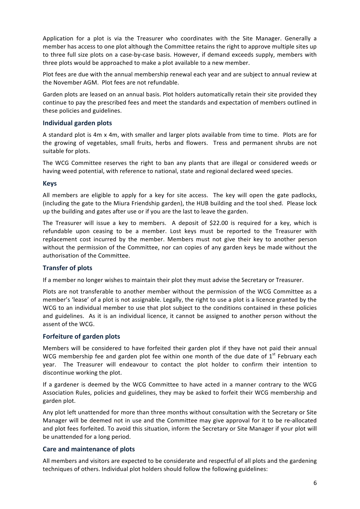Application for a plot is via the Treasurer who coordinates with the Site Manager. Generally a member has access to one plot although the Committee retains the right to approve multiple sites up to three full size plots on a case-by-case basis. However, if demand exceeds supply, members with three plots would be approached to make a plot available to a new member.

Plot fees are due with the annual membership renewal each year and are subject to annual review at the November AGM. Plot fees are not refundable.

Garden plots are leased on an annual basis. Plot holders automatically retain their site provided they continue to pay the prescribed fees and meet the standards and expectation of members outlined in these policies and guidelines.

#### **Individual garden plots**

A standard plot is 4m x 4m, with smaller and larger plots available from time to time. Plots are for the growing of vegetables, small fruits, herbs and flowers. Tress and permanent shrubs are not suitable for plots.

The WCG Committee reserves the right to ban any plants that are illegal or considered weeds or having weed potential, with reference to national, state and regional declared weed species.

#### **Keys**

All members are eligible to apply for a key for site access. The key will open the gate padlocks, (including the gate to the Miura Friendship garden), the HUB building and the tool shed. Please lock up the building and gates after use or if you are the last to leave the garden.

The Treasurer will issue a key to members. A deposit of  $$22.00$  is required for a key, which is refundable upon ceasing to be a member. Lost keys must be reported to the Treasurer with replacement cost incurred by the member. Members must not give their key to another person without the permission of the Committee, nor can copies of any garden keys be made without the authorisation of the Committee.

#### **Transfer of plots**

If a member no longer wishes to maintain their plot they must advise the Secretary or Treasurer.

Plots are not transferable to another member without the permission of the WCG Committee as a member's 'lease' of a plot is not assignable. Legally, the right to use a plot is a licence granted by the WCG to an individual member to use that plot subject to the conditions contained in these policies and guidelines. As it is an individual licence, it cannot be assigned to another person without the assent of the WCG.

#### **Forfeiture of garden plots**

Members will be considered to have forfeited their garden plot if they have not paid their annual WCG membership fee and garden plot fee within one month of the due date of  $1<sup>st</sup>$  February each year. The Treasurer will endeavour to contact the plot holder to confirm their intention to discontinue working the plot.

If a gardener is deemed by the WCG Committee to have acted in a manner contrary to the WCG Association Rules, policies and guidelines, they may be asked to forfeit their WCG membership and garden plot.

Any plot left unattended for more than three months without consultation with the Secretary or Site Manager will be deemed not in use and the Committee may give approval for it to be re-allocated and plot fees forfeited. To avoid this situation, inform the Secretary or Site Manager if your plot will be unattended for a long period.

#### **Care and maintenance of plots**

All members and visitors are expected to be considerate and respectful of all plots and the gardening techniques of others. Individual plot holders should follow the following guidelines: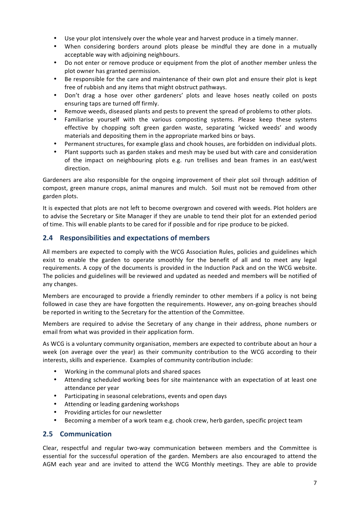- Use your plot intensively over the whole year and harvest produce in a timely manner.
- When considering borders around plots please be mindful they are done in a mutually acceptable way with adjoining neighbours.
- Do not enter or remove produce or equipment from the plot of another member unless the plot owner has granted permission.
- Be responsible for the care and maintenance of their own plot and ensure their plot is kept free of rubbish and any items that might obstruct pathways.
- Don't drag a hose over other gardeners' plots and leave hoses neatly coiled on posts ensuring taps are turned off firmly.
- Remove weeds, diseased plants and pests to prevent the spread of problems to other plots.
- Familiarise yourself with the various composting systems. Please keep these systems effective by chopping soft green garden waste, separating 'wicked weeds' and woody materials and depositing them in the appropriate marked bins or bays.
- Permanent structures, for example glass and chook houses, are forbidden on individual plots.
- Plant supports such as garden stakes and mesh may be used but with care and consideration of the impact on neighbouring plots e.g. run trellises and bean frames in an east/west direction.

Gardeners are also responsible for the ongoing improvement of their plot soil through addition of compost, green manure crops, animal manures and mulch. Soil must not be removed from other garden plots.

It is expected that plots are not left to become overgrown and covered with weeds. Plot holders are to advise the Secretary or Site Manager if they are unable to tend their plot for an extended period of time. This will enable plants to be cared for if possible and for ripe produce to be picked.

#### 2.4 Responsibilities and expectations of members

All members are expected to comply with the WCG Association Rules, policies and guidelines which exist to enable the garden to operate smoothly for the benefit of all and to meet any legal requirements. A copy of the documents is provided in the Induction Pack and on the WCG website. The policies and guidelines will be reviewed and updated as needed and members will be notified of any changes.

Members are encouraged to provide a friendly reminder to other members if a policy is not being followed in case they are have forgotten the requirements. However, any on-going breaches should be reported in writing to the Secretary for the attention of the Committee.

Members are required to advise the Secretary of any change in their address, phone numbers or email from what was provided in their application form.

As WCG is a voluntary community organisation, members are expected to contribute about an hour a week (on average over the year) as their community contribution to the WCG according to their interests, skills and experience. Examples of community contribution include:

- Working in the communal plots and shared spaces
- Attending scheduled working bees for site maintenance with an expectation of at least one attendance per year
- Participating in seasonal celebrations, events and open days
- Attending or leading gardening workshops
- Providing articles for our newsletter
- Becoming a member of a work team e.g. chook crew, herb garden, specific project team

#### **2.5 Communication**

Clear, respectful and regular two-way communication between members and the Committee is essential for the successful operation of the garden. Members are also encouraged to attend the AGM each year and are invited to attend the WCG Monthly meetings. They are able to provide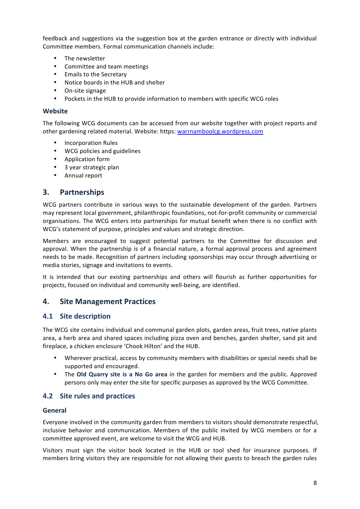feedback and suggestions via the suggestion box at the garden entrance or directly with individual Committee members. Formal communication channels include:

- The newsletter
- Committee and team meetings
- Emails to the Secretary
- Notice boards in the HUB and shelter
- On-site signage
- Pockets in the HUB to provide information to members with specific WCG roles

#### **Website**

The following WCG documents can be accessed from our website together with project reports and other gardening related material. Website: https: warrnamboolcg.wordpress.com

- Incorporation Rules
- WCG policies and guidelines
- Application form
- 3 year strategic plan
- Annual report

## **3. Partnerships**

WCG partners contribute in various ways to the sustainable development of the garden. Partners may represent local government, philanthropic foundations, not-for-profit community or commercial organisations. The WCG enters into partnerships for mutual benefit when there is no conflict with WCG's statement of purpose, principles and values and strategic direction.

Members are encouraged to suggest potential partners to the Committee for discussion and approval. When the partnership is of a financial nature, a formal approval process and agreement needs to be made. Recognition of partners including sponsorships may occur through advertising or media stories, signage and invitations to events.

It is intended that our existing partnerships and others will flourish as further opportunities for projects, focused on individual and community well-being, are identified.

## **4. Site Management Practices**

#### **4.1 Site description**

The WCG site contains individual and communal garden plots, garden areas, fruit trees, native plants area, a herb area and shared spaces including pizza oven and benches, garden shelter, sand pit and fireplace, a chicken enclosure 'Chook Hilton' and the HUB.

- Wherever practical, access by community members with disabilities or special needs shall be supported and encouraged.
- The **Old Quarry site is a No Go area** in the garden for members and the public. Approved persons only may enter the site for specific purposes as approved by the WCG Committee.

## **4.2** Site rules and practices

#### **General**

Everyone involved in the community garden from members to visitors should demonstrate respectful, inclusive behavior and communication. Members of the public invited by WCG members or for a committee approved event, are welcome to visit the WCG and HUB.

Visitors must sign the visitor book located in the HUB or tool shed for insurance purposes. If members bring visitors they are responsible for not allowing their guests to breach the garden rules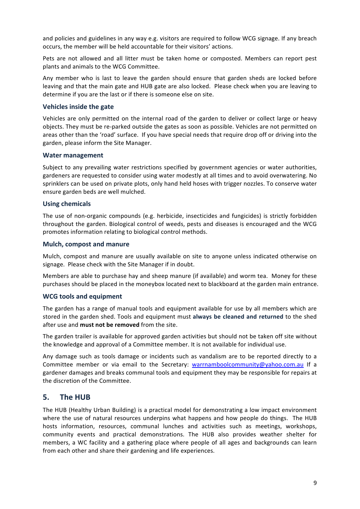and policies and guidelines in any way e.g. visitors are required to follow WCG signage. If any breach occurs, the member will be held accountable for their visitors' actions.

Pets are not allowed and all litter must be taken home or composted. Members can report pest plants and animals to the WCG Committee.

Any member who is last to leave the garden should ensure that garden sheds are locked before leaving and that the main gate and HUB gate are also locked. Please check when you are leaving to determine if you are the last or if there is someone else on site.

#### **Vehicles inside the gate**

Vehicles are only permitted on the internal road of the garden to deliver or collect large or heavy objects. They must be re-parked outside the gates as soon as possible. Vehicles are not permitted on areas other than the 'road' surface. If you have special needs that require drop off or driving into the garden, please inform the Site Manager.

#### **Water management**

Subject to any prevailing water restrictions specified by government agencies or water authorities, gardeners are requested to consider using water modestly at all times and to avoid overwatering. No sprinklers can be used on private plots, only hand held hoses with trigger nozzles. To conserve water ensure garden beds are well mulched.

#### **Using chemicals**

The use of non-organic compounds (e.g. herbicide, insecticides and fungicides) is strictly forbidden throughout the garden. Biological control of weeds, pests and diseases is encouraged and the WCG promotes information relating to biological control methods.

#### **Mulch, compost and manure**

Mulch, compost and manure are usually available on site to anyone unless indicated otherwise on signage. Please check with the Site Manager if in doubt.

Members are able to purchase hay and sheep manure (if available) and worm tea. Money for these purchases should be placed in the moneybox located next to blackboard at the garden main entrance.

#### **WCG tools and equipment**

The garden has a range of manual tools and equipment available for use by all members which are stored in the garden shed. Tools and equipment must always be cleaned and returned to the shed after use and **must not be removed** from the site.

The garden trailer is available for approved garden activities but should not be taken off site without the knowledge and approval of a Committee member. It is not available for individual use.

Any damage such as tools damage or incidents such as vandalism are to be reported directly to a Committee member or via email to the Secretary: warrnamboolcommunity@yahoo.com.au If a gardener damages and breaks communal tools and equipment they may be responsible for repairs at the discretion of the Committee.

## **5. The HUB**

The HUB (Healthy Urban Building) is a practical model for demonstrating a low impact environment where the use of natural resources underpins what happens and how people do things. The HUB hosts information, resources, communal lunches and activities such as meetings, workshops, community events and practical demonstrations. The HUB also provides weather shelter for members, a WC facility and a gathering place where people of all ages and backgrounds can learn from each other and share their gardening and life experiences.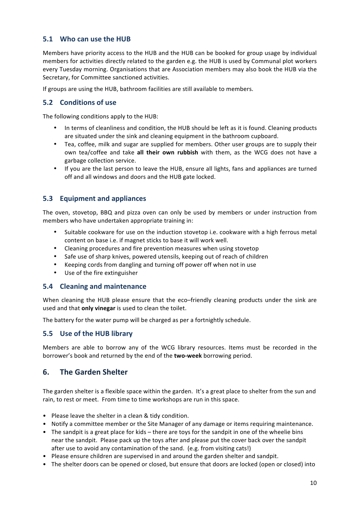## **5.1 Who can use the HUB**

Members have priority access to the HUB and the HUB can be booked for group usage by individual members for activities directly related to the garden e.g. the HUB is used by Communal plot workers every Tuesday morning. Organisations that are Association members may also book the HUB via the Secretary, for Committee sanctioned activities.

If groups are using the HUB, bathroom facilities are still available to members.

## **5.2 Conditions of use**

The following conditions apply to the HUB:

- In terms of cleanliness and condition, the HUB should be left as it is found. Cleaning products are situated under the sink and cleaning equipment in the bathroom cupboard.
- Tea, coffee, milk and sugar are supplied for members. Other user groups are to supply their own tea/coffee and take all their own rubbish with them, as the WCG does not have a garbage collection service.
- If you are the last person to leave the HUB, ensure all lights, fans and appliances are turned off and all windows and doors and the HUB gate locked.

## **5.3 Equipment and appliances**

The oven, stovetop, BBQ and pizza oven can only be used by members or under instruction from members who have undertaken appropriate training in:

- Suitable cookware for use on the induction stovetop i.e. cookware with a high ferrous metal content on base i.e. if magnet sticks to base it will work well.
- Cleaning procedures and fire prevention measures when using stovetop
- Safe use of sharp knives, powered utensils, keeping out of reach of children
- Keeping cords from dangling and turning off power off when not in use
- Use of the fire extinguisher

#### **5.4 Cleaning and maintenance**

When cleaning the HUB please ensure that the eco–friendly cleaning products under the sink are used and that **only vinegar** is used to clean the toilet.

The battery for the water pump will be charged as per a fortnightly schedule.

## **5.5** Use of the HUB library

Members are able to borrow any of the WCG library resources. Items must be recorded in the borrower's book and returned by the end of the **two-week** borrowing period.

## **6. The Garden Shelter**

The garden shelter is a flexible space within the garden. It's a great place to shelter from the sun and rain, to rest or meet. From time to time workshops are run in this space.

- Please leave the shelter in a clean & tidy condition.
- Notify a committee member or the Site Manager of any damage or items requiring maintenance.
- The sandpit is a great place for kids there are toys for the sandpit in one of the wheelie bins near the sandpit. Please pack up the toys after and please put the cover back over the sandpit after use to avoid any contamination of the sand. (e.g. from visiting cats!)
- Please ensure children are supervised in and around the garden shelter and sandpit.
- The shelter doors can be opened or closed, but ensure that doors are locked (open or closed) into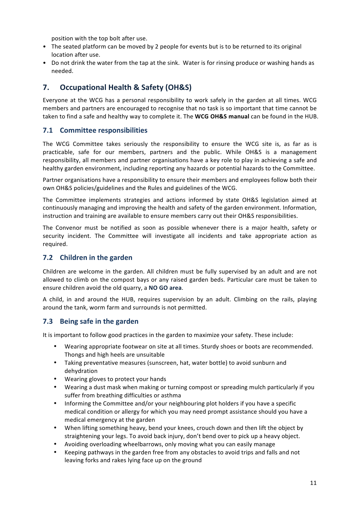position with the top bolt after use.

- The seated platform can be moved by 2 people for events but is to be returned to its original location after use.
- Do not drink the water from the tap at the sink. Water is for rinsing produce or washing hands as needed.

## **7. Occupational Health & Safety (OH&S)**

Everyone at the WCG has a personal responsibility to work safely in the garden at all times. WCG members and partners are encouraged to recognise that no task is so important that time cannot be taken to find a safe and healthy way to complete it. The **WCG OH&S manual** can be found in the HUB.

## **7.1 Committee responsibilities**

The WCG Committee takes seriously the responsibility to ensure the WCG site is, as far as is practicable, safe for our members, partners and the public. While OH&S is a management responsibility, all members and partner organisations have a key role to play in achieving a safe and healthy garden environment, including reporting any hazards or potential hazards to the Committee.

Partner organisations have a responsibility to ensure their members and employees follow both their own OH&S policies/guidelines and the Rules and guidelines of the WCG.

The Committee implements strategies and actions informed by state OH&S legislation aimed at continuously managing and improving the health and safety of the garden environment. Information, instruction and training are available to ensure members carry out their OH&S responsibilities.

The Convenor must be notified as soon as possible whenever there is a major health, safety or security incident. The Committee will investigate all incidents and take appropriate action as required.

## **7.2** Children in the garden

Children are welcome in the garden. All children must be fully supervised by an adult and are not allowed to climb on the compost bays or any raised garden beds. Particular care must be taken to ensure children avoid the old quarry, a NO GO area.

A child, in and around the HUB, requires supervision by an adult. Climbing on the rails, playing around the tank, worm farm and surrounds is not permitted.

## **7.3** Being safe in the garden

It is important to follow good practices in the garden to maximize your safety. These include:

- Wearing appropriate footwear on site at all times. Sturdy shoes or boots are recommended. Thongs and high heels are unsuitable
- Taking preventative measures (sunscreen, hat, water bottle) to avoid sunburn and dehydration
- Wearing gloves to protect your hands
- Wearing a dust mask when making or turning compost or spreading mulch particularly if you suffer from breathing difficulties or asthma
- Informing the Committee and/or your neighbouring plot holders if you have a specific medical condition or allergy for which you may need prompt assistance should you have a medical emergency at the garden
- When lifting something heavy, bend your knees, crouch down and then lift the object by straightening your legs. To avoid back injury, don't bend over to pick up a heavy object.
- Avoiding overloading wheelbarrows, only moving what you can easily manage
- Keeping pathways in the garden free from any obstacles to avoid trips and falls and not leaving forks and rakes lying face up on the ground